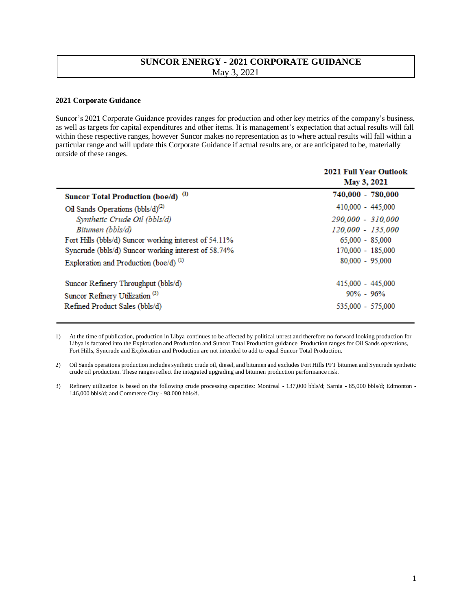## **SUNCOR ENERGY - 2021 CORPORATE GUIDANCE**  May 3, 2021

## **2021 Corporate Guidance**

Suncor's 2021 Corporate Guidance provides ranges for production and other key metrics of the company's business, as well as targets for capital expenditures and other items. It is management's expectation that actual results will fall within these respective ranges, however Suncor makes no representation as to where actual results will fall within a particular range and will update this Corporate Guidance if actual results are, or are anticipated to be, materially outside of these ranges.

|                                                       | <b>2021 Full Year Outlook</b><br>May 3, 2021 |
|-------------------------------------------------------|----------------------------------------------|
| Suncor Total Production (boe/d) (1)                   | 740,000 - 780,000                            |
| Oil Sands Operations $(bbls/d)^{(2)}$                 | 410,000 - 445,000                            |
| Synthetic Crude Oil (bbls/d)                          | 290,000 - 310,000                            |
| Bitumen (bbls/d)                                      | 120,000 - 135,000                            |
| Fort Hills (bbls/d) Suncor working interest of 54.11% | $65,000 - 85,000$                            |
| Syncrude (bbls/d) Suncor working interest of 58.74%   | 170,000 - 185,000                            |
| Exploration and Production (boe/d) <sup>(1)</sup>     | $80,000 - 95,000$                            |
| Suncor Refinery Throughput (bbls/d)                   | 415,000 - 445,000                            |
| Suncor Refinery Utilization <sup>(3)</sup>            | $90\% - 96\%$                                |
| Refined Product Sales (bbls/d)                        | 535,000 - 575,000                            |

1) At the time of publication, production in Libya continues to be affected by political unrest and therefore no forward looking production for Libya is factored into the Exploration and Production and Suncor Total Production guidance. Production ranges for Oil Sands operations, Fort Hills, Syncrude and Exploration and Production are not intended to add to equal Suncor Total Production.

2) Oil Sands operations production includes synthetic crude oil, diesel, and bitumen and excludes Fort Hills PFT bitumen and Syncrude synthetic crude oil production. These ranges reflect the integrated upgrading and bitumen production performance risk.

3) Refinery utilization is based on the following crude processing capacities: Montreal - 137,000 bbls/d; Sarnia - 85,000 bbls/d; Edmonton - 146,000 bbls/d; and Commerce City - 98,000 bbls/d.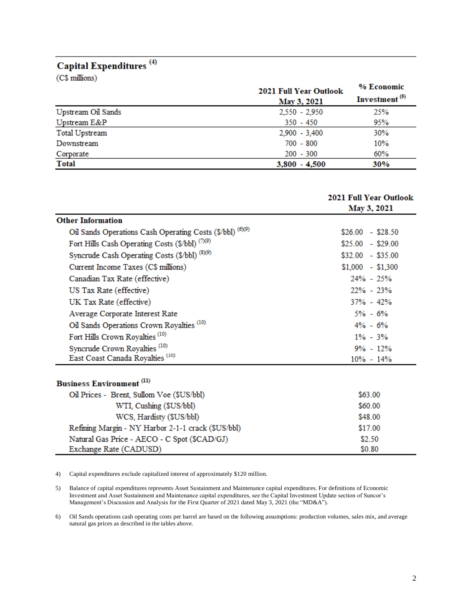## Capital Expenditures<sup>(4)</sup>

(C\$ millions)

| $\sim$ $\sim$ $\sim$ $\sim$ $\sim$ $\sim$ $\sim$ $\sim$ | <b>2021 Full Year Outlook</b><br>May 3, 2021 | % Economic<br>Investment <sup>(5)</sup> |
|---------------------------------------------------------|----------------------------------------------|-----------------------------------------|
| Upstream Oil Sands                                      | $2,550 - 2,950$                              | 25%                                     |
| Upstream E&P                                            | $350 - 450$                                  | 95%                                     |
| Total Upstream                                          | $2,900 - 3,400$                              | 30%                                     |
| Downstream                                              | $700 - 800$                                  | 10%                                     |
| Corporate                                               | $200 - 300$                                  | 60%                                     |
| <b>Total</b>                                            | $3,800 - 4,500$                              | 30%                                     |

|                                                           | 2021 Full Year Outlook<br>May 3, 2021 |
|-----------------------------------------------------------|---------------------------------------|
| <b>Other Information</b>                                  |                                       |
| Oil Sands Operations Cash Operating Costs (\$/bbl) (6)(9) | $$26.00 - $28.50$                     |
| Fort Hills Cash Operating Costs (\$/bbl) (7)(9)           | $$25.00 - $29.00$                     |
| Syncrude Cash Operating Costs (\$/bbl) (8)(9)             | $$32.00 - $35.00$                     |
| Current Income Taxes (C\$ millions)                       | $$1,000 - $1,300$                     |
| Canadian Tax Rate (effective)                             | 24% - 25%                             |
| US Tax Rate (effective)                                   | $22\% - 23\%$                         |
| UK Tax Rate (effective)                                   | $37\% - 42\%$                         |
| Average Corporate Interest Rate                           | $5\% - 6\%$                           |
| Oil Sands Operations Crown Royalties <sup>(10)</sup>      | $4\% - 6\%$                           |
| Fort Hills Crown Royalties <sup>(10)</sup>                | $1\% - 3\%$                           |
| Syncrude Crown Royalties <sup>(10)</sup>                  | $9\% - 12\%$                          |
| East Coast Canada Royalties <sup>(10)</sup>               | $10\% - 14\%$                         |
| <b>Business Environment</b> <sup>(11)</sup>               |                                       |
| Oil Prices - Brent, Sullom Voe (\$US/bbl)                 | \$63.00                               |
| WTI, Cushing (\$US/bbl)                                   | \$60.00                               |
| WCS, Hardisty (\$US/bbl)                                  | \$48.00                               |
| Refining Margin - NY Harbor 2-1-1 crack (\$US/bbl)        | \$17.00                               |
| Natural Gas Price - AECO - C Spot (\$CAD/GJ)              | \$2.50                                |

4) Capital expenditures exclude capitalized interest of approximately \$120 million.

Exchange Rate (CADUSD)

5) Balance of capital expenditures represents Asset Sustainment and Maintenance capital expenditures. For definitions of Economic Investment and Asset Sustainment and Maintenance capital expenditures, see the Capital Investment Update section of Suncor's Management's Discussion and Analysis for the First Quarter of 2021 dated May 3, 2021 (the "MD&A").

6) Oil Sands operations cash operating costs per barrel are based on the following assumptions: production volumes, sales mix, and average natural gas prices as described in the tables above.

\$0.80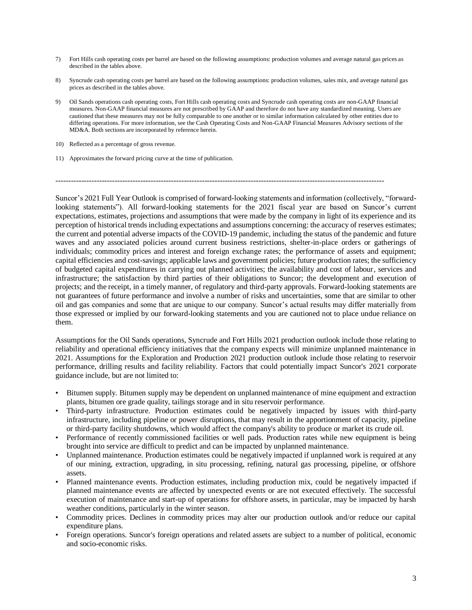- 7) Fort Hills cash operating costs per barrel are based on the following assumptions: production volumes and average natural gas prices as described in the tables above.
- 8) Syncrude cash operating costs per barrel are based on the following assumptions: production volumes, sales mix, and average natural gas prices as described in the tables above.
- 9) Oil Sands operations cash operating costs, Fort Hills cash operating costs and Syncrude cash operating costs are non-GAAP financial measures. Non-GAAP financial measures are not prescribed by GAAP and therefore do not have any standardized meaning. Users are cautioned that these measures may not be fully comparable to one another or to similar information calculated by other entities due to differing operations. For more information, see the Cash Operating Costs and Non-GAAP Financial Measures Advisory sections of the MD&A. Both sections are incorporated by reference herein.
- 10) Reflected as a percentage of gross revenue.
- 11) Approximates the forward pricing curve at the time of publication.

--------------------------------------------------------------------------------------------------------------------------------

Suncor's 2021 Full Year Outlook is comprised of forward-looking statements and information (collectively, "forwardlooking statements"). All forward-looking statements for the 2021 fiscal year are based on Suncor's current expectations, estimates, projections and assumptions that were made by the company in light of its experience and its perception of historical trends including expectations and assumptions concerning: the accuracy of reserves estimates; the current and potential adverse impacts of the COVID-19 pandemic, including the status of the pandemic and future waves and any associated policies around current business restrictions, shelter-in-place orders or gatherings of individuals; commodity prices and interest and foreign exchange rates; the performance of assets and equipment; capital efficiencies and cost-savings; applicable laws and government policies; future production rates; the sufficiency of budgeted capital expenditures in carrying out planned activities; the availability and cost of labour, services and infrastructure; the satisfaction by third parties of their obligations to Suncor; the development and execution of projects; and the receipt, in a timely manner, of regulatory and third-party approvals. Forward-looking statements are not guarantees of future performance and involve a number of risks and uncertainties, some that are similar to other oil and gas companies and some that are unique to our company. Suncor's actual results may differ materially from those expressed or implied by our forward-looking statements and you are cautioned not to place undue reliance on them.

Assumptions for the Oil Sands operations, Syncrude and Fort Hills 2021 production outlook include those relating to reliability and operational efficiency initiatives that the company expects will minimize unplanned maintenance in 2021. Assumptions for the Exploration and Production 2021 production outlook include those relating to reservoir performance, drilling results and facility reliability. Factors that could potentially impact Suncor's 2021 corporate guidance include, but are not limited to:

- Bitumen supply. Bitumen supply may be dependent on unplanned maintenance of mine equipment and extraction plants, bitumen ore grade quality, tailings storage and in situ reservoir performance.
- Third-party infrastructure. Production estimates could be negatively impacted by issues with third-party infrastructure, including pipeline or power disruptions, that may result in the apportionment of capacity, pipeline or third-party facility shutdowns, which would affect the company's ability to produce or market its crude oil.
- Performance of recently commissioned facilities or well pads. Production rates while new equipment is being brought into service are difficult to predict and can be impacted by unplanned maintenance.
- Unplanned maintenance. Production estimates could be negatively impacted if unplanned work is required at any of our mining, extraction, upgrading, in situ processing, refining, natural gas processing, pipeline, or offshore assets.
- Planned maintenance events. Production estimates, including production mix, could be negatively impacted if planned maintenance events are affected by unexpected events or are not executed effectively. The successful execution of maintenance and start-up of operations for offshore assets, in particular, may be impacted by harsh weather conditions, particularly in the winter season.
- Commodity prices. Declines in commodity prices may alter our production outlook and/or reduce our capital expenditure plans.
- Foreign operations. Suncor's foreign operations and related assets are subject to a number of political, economic and socio-economic risks.